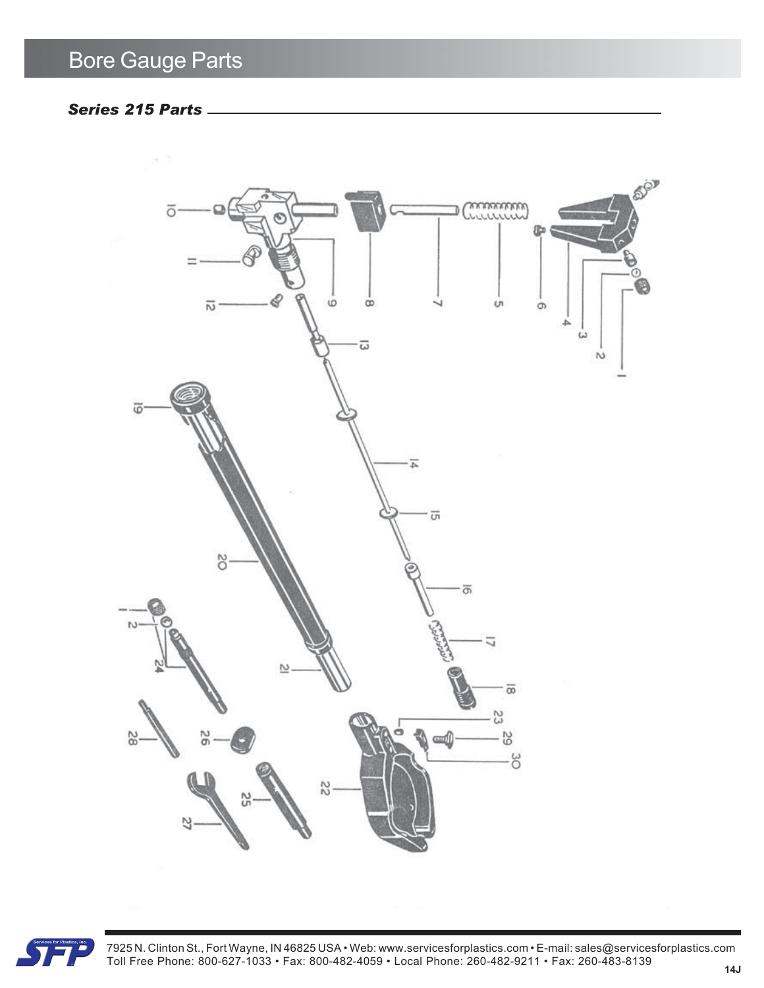## *Series 215 Parts*





7925 N. Clinton St., Fort Wayne, IN 46825 USA • Web: www.servicesforplastics.com • E-mail: sales@servicesforplastics.com Toll Free Phone: 800-627-1033 • Fax: 800-482-4059 • Local Phone: 260-482-9211 • Fax: 260-483-8139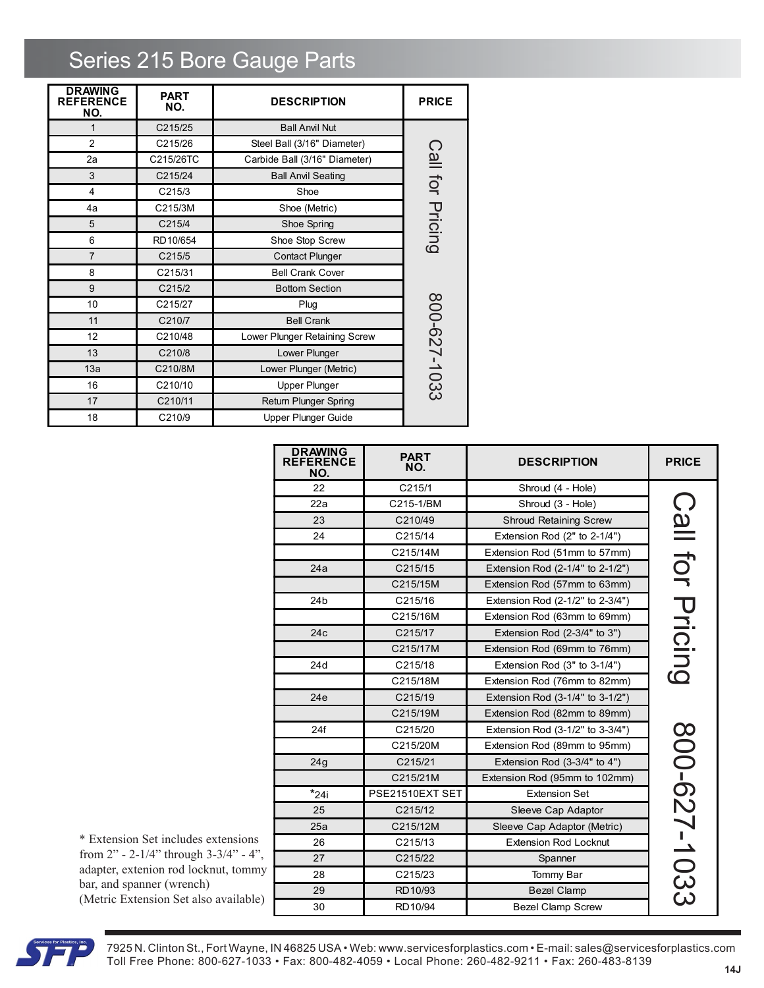## Series 215 Bore Gauge Parts

| <b>DRAWING</b><br><b>REFERENCE</b><br>NO. | <b>PART</b><br>NO. | <b>DESCRIPTION</b>            | <b>PRICE</b>     |
|-------------------------------------------|--------------------|-------------------------------|------------------|
| 1                                         | C215/25            | <b>Ball Anvil Nut</b>         |                  |
| $\mathfrak{p}$                            | C215/26            | Steel Ball (3/16" Diameter)   |                  |
| 2a                                        | C215/26TC          | Carbide Ball (3/16" Diameter) | Call for Pricing |
| 3                                         | C215/24            | <b>Ball Anvil Seating</b>     |                  |
| 4                                         | C215/3             | Shoe                          |                  |
| 4a                                        | C215/3M            | Shoe (Metric)                 |                  |
| 5                                         | C215/4             | Shoe Spring                   |                  |
| 6                                         | RD10/654           | Shoe Stop Screw               |                  |
| $\overline{7}$                            | C215/5             | <b>Contact Plunger</b>        |                  |
| 8                                         | C215/31            | <b>Bell Crank Cover</b>       |                  |
| 9                                         | C215/2             | <b>Bottom Section</b>         |                  |
| 10                                        | C215/27            | Plug                          |                  |
| 11                                        | C210/7             | <b>Bell Crank</b>             |                  |
| 12                                        | C210/48            | Lower Plunger Retaining Screw |                  |
| 13                                        | C210/8             | Lower Plunger                 |                  |
| 13a                                       | C210/8M            | Lower Plunger (Metric)        |                  |
| 16                                        | C210/10            | <b>Upper Plunger</b>          | 800-627-1033     |
| 17                                        | C210/11            | Return Plunger Spring         |                  |
| 18                                        | C210/9             | <b>Upper Plunger Guide</b>    |                  |

| <b>DRAWING</b><br><b>REFERENCE</b><br>NO. | <b>PART</b><br>NO. | <b>DESCRIPTION</b>               | <b>PRICE</b>     |
|-------------------------------------------|--------------------|----------------------------------|------------------|
| 22                                        | C215/1             | Shroud (4 - Hole)                |                  |
| 22a                                       | C215-1/BM          | Shroud (3 - Hole)                |                  |
| 23                                        | C210/49            | <b>Shroud Retaining Screw</b>    | Call for Pricing |
| 24                                        | C215/14            | Extension Rod $(2"$ to $2-1/4")$ |                  |
|                                           | C215/14M           | Extension Rod (51mm to 57mm)     |                  |
| 24a                                       | C215/15            | Extension Rod (2-1/4" to 2-1/2") |                  |
|                                           | C215/15M           | Extension Rod (57mm to 63mm)     |                  |
| 24 <sub>b</sub>                           | C215/16            | Extension Rod (2-1/2" to 2-3/4") |                  |
|                                           | C215/16M           | Extension Rod (63mm to 69mm)     |                  |
| 24c                                       | C215/17            | Extension Rod $(2-3/4"$ to $3")$ |                  |
|                                           | C215/17M           | Extension Rod (69mm to 76mm)     |                  |
| 24d                                       | C215/18            | Extension Rod (3" to 3-1/4")     |                  |
|                                           | C215/18M           | Extension Rod (76mm to 82mm)     |                  |
| 24e                                       | C215/19            | Extension Rod (3-1/4" to 3-1/2") |                  |
|                                           | C215/19M           | Extension Rod (82mm to 89mm)     |                  |
| 24f                                       | C215/20            | Extension Rod (3-1/2" to 3-3/4") |                  |
|                                           | C215/20M           | Extension Rod (89mm to 95mm)     |                  |
| 24 <sub>g</sub>                           | C215/21            | Extension Rod $(3-3/4"$ to $4")$ |                  |
|                                           | C215/21M           | Extension Rod (95mm to 102mm)    |                  |
| $*$ 24i                                   | PSE21510EXT SET    | <b>Extension Set</b>             |                  |
| 25                                        | C215/12            | Sleeve Cap Adaptor               |                  |
| 25a                                       | C215/12M           | Sleeve Cap Adaptor (Metric)      |                  |
| 26                                        | C215/13            | <b>Extension Rod Locknut</b>     | 300-627-1033     |
| 27                                        | C215/22            | Spanner                          |                  |
| 28                                        | C215/23            | Tommy Bar                        |                  |
| 29                                        | RD10/93            | <b>Bezel Clamp</b>               |                  |
| 30                                        | RD10/94            | <b>Bezel Clamp Screw</b>         |                  |

\* Extension Set includes extensions from 2" - 2-1/4" through 3-3/4" - 4", adapter, extenion rod locknut, tommy bar, and spanner (wrench) (Metric Extension Set also available)



7925 N. Clinton St., Fort Wayne, IN 46825 USA • Web: www.servicesforplastics.com • E-mail: sales@servicesforplastics.com Toll Free Phone: 800-627-1033 • Fax: 800-482-4059 • Local Phone: 260-482-9211 • Fax: 260-483-8139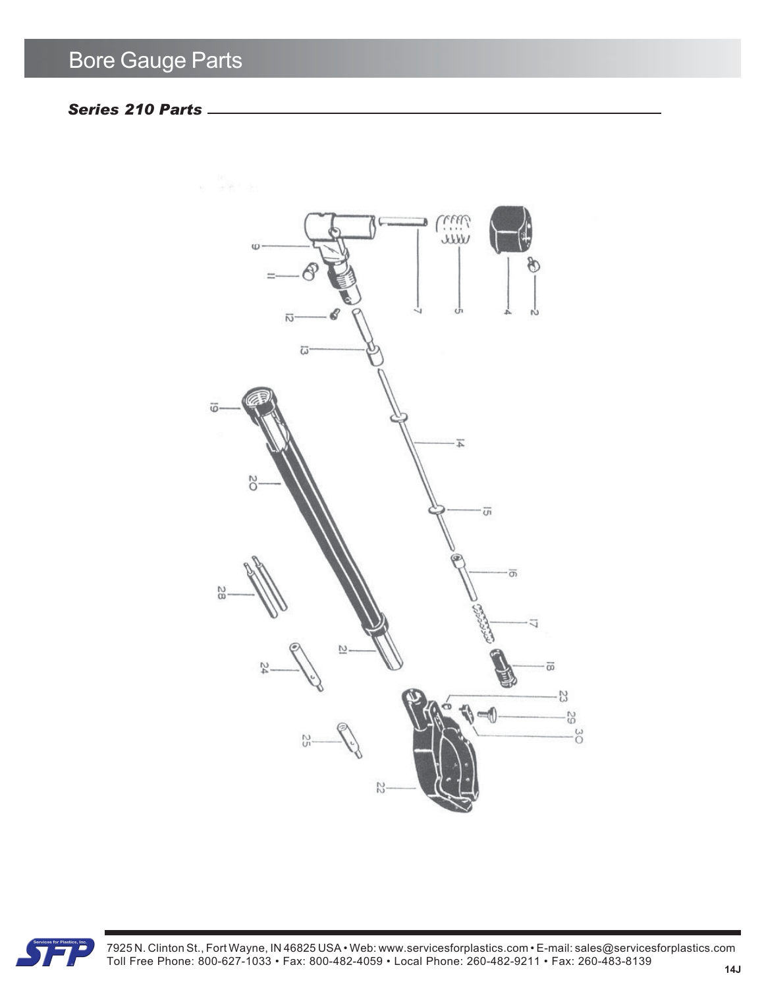## *Series 210 Parts*